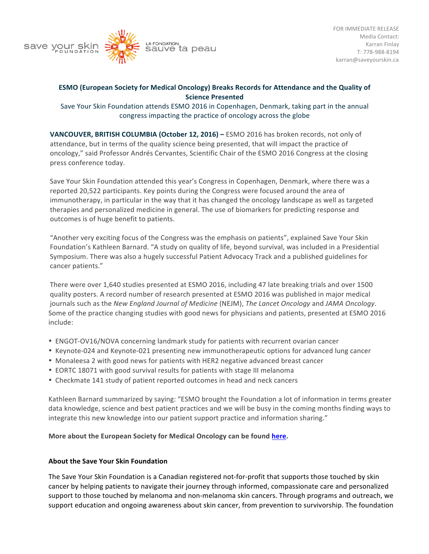

## **ESMO** (European Society for Medical Oncology) Breaks Records for Attendance and the Quality of **Science Presented**

Save Your Skin Foundation attends ESMO 2016 in Copenhagen, Denmark, taking part in the annual congress impacting the practice of oncology across the globe

**VANCOUVER, BRITISH COLUMBIA (October 12, 2016) –** ESMO 2016 has broken records, not only of attendance, but in terms of the quality science being presented, that will impact the practice of oncology," said Professor Andrés Cervantes, Scientific Chair of the ESMO 2016 Congress at the closing press conference today.

Save Your Skin Foundation attended this year's Congress in Copenhagen, Denmark, where there was a reported 20,522 participants. Key points during the Congress were focused around the area of immunotherapy, in particular in the way that it has changed the oncology landscape as well as targeted therapies and personalized medicine in general. The use of biomarkers for predicting response and outcomes is of huge benefit to patients.

"Another very exciting focus of the Congress was the emphasis on patients", explained Save Your Skin Foundation's Kathleen Barnard. "A study on quality of life, beyond survival, was included in a Presidential Symposium. There was also a hugely successful Patient Advocacy Track and a published guidelines for cancer patients."

There were over 1,640 studies presented at ESMO 2016, including 47 late breaking trials and over 1500 quality posters. A record number of research presented at ESMO 2016 was published in major medical journals such as the *New England Journal of Medicine* (NEJM), *The Lancet Oncology* and *JAMA Oncology*. Some of the practice changing studies with good news for physicians and patients, presented at ESMO 2016 include:

- ENGOT-OV16/NOVA concerning landmark study for patients with recurrent ovarian cancer
- Keynote-024 and Keynote-021 presenting new immunotherapeutic options for advanced lung cancer
- Monaleesa 2 with good news for patients with HER2 negative advanced breast cancer
- EORTC 18071 with good survival results for patients with stage III melanoma
- Checkmate 141 study of patient reported outcomes in head and neck cancers

Kathleen Barnard summarized by saying: "ESMO brought the Foundation a lot of information in terms greater data knowledge, science and best patient practices and we will be busy in the coming months finding ways to integrate this new knowledge into our patient support practice and information sharing."

## **More about the European Society for Medical Oncology can be found here.**

## **About the Save Your Skin Foundation**

The Save Your Skin Foundation is a Canadian registered not-for-profit that supports those touched by skin cancer by helping patients to navigate their journey through informed, compassionate care and personalized support to those touched by melanoma and non-melanoma skin cancers. Through programs and outreach, we support education and ongoing awareness about skin cancer, from prevention to survivorship. The foundation